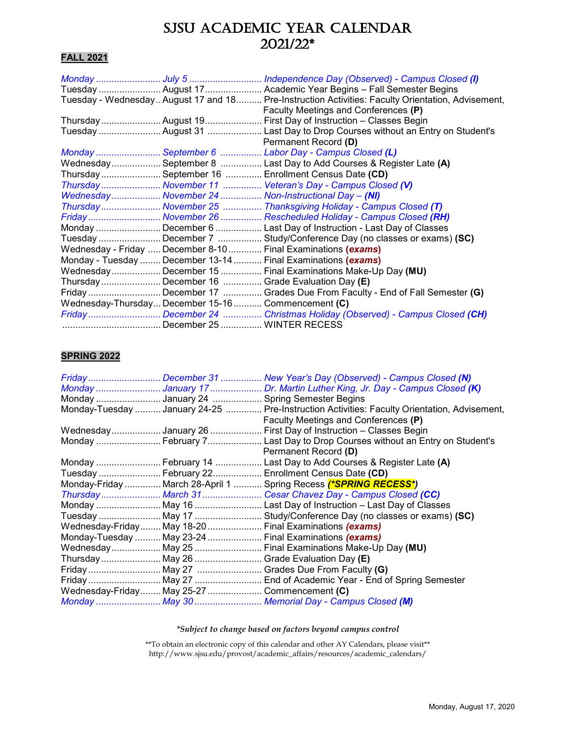## SJSU ACADEMIC YEAR CALENDAR 2021/22\*

## **FALL 2021**

|                                                     | Monday July 5 Independence Day (Observed) - Campus Closed (I)                                     |
|-----------------------------------------------------|---------------------------------------------------------------------------------------------------|
|                                                     | Tuesday  August 17 Academic Year Begins - Fall Semester Begins                                    |
|                                                     | Tuesday - Wednesday August 17 and 18 Pre-Instruction Activities: Faculty Orientation, Advisement, |
|                                                     | Faculty Meetings and Conferences (P)                                                              |
|                                                     | Thursday  August 19  First Day of Instruction - Classes Begin                                     |
|                                                     | Tuesday  August 31  Last Day to Drop Courses without an Entry on Student's                        |
|                                                     | Permanent Record (D)                                                                              |
|                                                     | Monday  September 6  Labor Day - Campus Closed (L)                                                |
|                                                     | Wednesday September 8  Last Day to Add Courses & Register Late (A)                                |
|                                                     | Thursday September 16  Enrollment Census Date (CD)                                                |
|                                                     | ThursdayNovember 11  Veteran's Day - Campus Closed (V)                                            |
|                                                     | Wednesday November 24  Non-Instructional Day - (NI)                                               |
|                                                     | Thursday November 25  Thanksgiving Holiday - Campus Closed (T)                                    |
|                                                     | Friday November 26  Rescheduled Holiday - Campus Closed (RH)                                      |
|                                                     | Monday December 6 Last Day of Instruction - Last Day of Classes                                   |
|                                                     | Tuesday  December 7  Study/Conference Day (no classes or exams) (SC)                              |
|                                                     | Wednesday - Friday  December 8-10  Final Examinations (exams)                                     |
|                                                     | Monday - Tuesday  December 13-14  Final Examinations (exams)                                      |
|                                                     | WednesdayDecember 15 Final Examinations Make-Up Day (MU)                                          |
|                                                     | ThursdayDecember 16  Grade Evaluation Day (E)                                                     |
|                                                     | FridayDecember 17  Grades Due From Faculty - End of Fall Semester (G)                             |
| Wednesday-Thursday December 15-16  Commencement (C) |                                                                                                   |
|                                                     | FridayDecember 24 Christmas Holiday (Observed) - Campus Closed (CH)                               |
|                                                     |                                                                                                   |

## **SPRING 2022**

|                                              | FridayDecember 31  New Year's Day (Observed) - Campus Closed (N)                            |
|----------------------------------------------|---------------------------------------------------------------------------------------------|
|                                              | Monday January 17  Dr. Martin Luther King, Jr. Day - Campus Closed (K)                      |
|                                              | Monday  January 24  Spring Semester Begins                                                  |
|                                              | Monday-Tuesday  January 24-25  Pre-Instruction Activities: Faculty Orientation, Advisement, |
|                                              | Faculty Meetings and Conferences (P)                                                        |
|                                              | Wednesday January 26  First Day of Instruction - Classes Begin                              |
|                                              | Monday  February 7 Last Day to Drop Courses without an Entry on Student's                   |
|                                              | Permanent Record (D)                                                                        |
|                                              |                                                                                             |
|                                              | Tuesday  February 22 Enrollment Census Date (CD)                                            |
|                                              | Monday-Friday  March 28-April 1  Spring Recess (*SPRING RECESS*)                            |
|                                              | Thursday March 31 Cesar Chavez Day - Campus Closed (CC)                                     |
|                                              | Monday  May 16  Last Day of Instruction – Last Day of Classes                               |
|                                              | Tuesday  May 17  Study/Conference Day (no classes or exams) (SC)                            |
|                                              | Wednesday-Friday May 18-20  Final Examinations <i>(exams)</i>                               |
|                                              | Monday-Tuesday  May 23-24  Final Examinations (exams)                                       |
|                                              | Wednesday May 25  Final Examinations Make-Up Day (MU)                                       |
|                                              | Thursday May 26  Grade Evaluation Day (E)                                                   |
|                                              | Friday  May 27  Grades Due From Faculty (G)                                                 |
|                                              | Friday  May 27  End of Academic Year - End of Spring Semester                               |
| Wednesday-Friday May 25-27  Commencement (C) |                                                                                             |
|                                              | Monday  May 30  Memorial Day - Campus Closed (M)                                            |

*\*Subject to change based on factors beyond campus control*

\*\*To obtain an electronic copy of this calendar and other AY Calendars, please visit\*\* http://www.sjsu.edu/provost/academic\_affairs/resources/academic\_calendars/